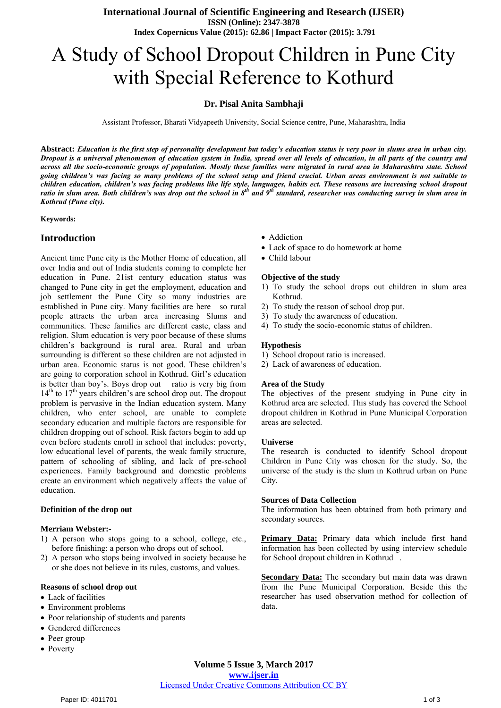# A Study of School Dropout Children in Pune City with Special Reference to Kothurd

# **Dr. Pisal Anita Sambhaji**

Assistant Professor, Bharati Vidyapeeth University, Social Science centre, Pune, Maharashtra, India

**Abstract:** *Education is the first step of personality development but today's education status is very poor in slums area in urban city. Dropout is a universal phenomenon of education system in India, spread over all levels of education, in all parts of the country and across all the socio-economic groups of population. Mostly these families were migrated in rural area in Maharashtra state. School going children's was facing so many problems of the school setup and friend crucial. Urban areas environment is not suitable to children education, children's was facing problems like life style, languages, habits ect. These reasons are increasing school dropout ratio in slum area. Both children's was drop out the school in 8th and 9th standard, researcher was conducting survey in slum area in Kothrud (Pune city).* 

**Keywords:** 

# **Introduction**

Ancient time Pune city is the Mother Home of education, all over India and out of India students coming to complete her education in Pune. 21ist century education status was changed to Pune city in get the employment, education and job settlement the Pune City so many industries are established in Pune city. Many facilities are here so rural people attracts the urban area increasing Slums and communities. These families are different caste, class and religion. Slum education is very poor because of these slums children's background is rural area. Rural and urban surrounding is different so these children are not adjusted in urban area. Economic status is not good. These children's are going to corporation school in Kothrud. Girl's education is better than boy's. Boys drop out ratio is very big from  $14<sup>th</sup>$  to  $17<sup>th</sup>$  years children's are school drop out. The dropout problem is pervasive in the Indian education system. Many children, who enter school, are unable to complete secondary education and multiple factors are responsible for children dropping out of school. Risk factors begin to add up even before students enroll in school that includes: poverty, low educational level of parents, the weak family structure, pattern of schooling of sibling, and lack of pre-school experiences. Family background and domestic problems create an environment which negatively affects the value of education.

#### **Definition of the drop out**

#### **Merriam Webster:-**

- 1) A person who stops going to a school, college, etc., before finishing: a person who drops out of school.
- 2) A person who stops being involved in society because he or she does not believe in its rules, customs, and values.

#### **Reasons of school drop out**

- Lack of facilities
- Environment problems
- Poor relationship of students and parents
- Gendered differences
- Peer group
- Poverty
- Addiction
- Lack of space to do homework at home
- Child labour

#### **Objective of the study**

- 1) To study the school drops out children in slum area Kothrud.
- 2) To study the reason of school drop put.
- 3) To study the awareness of education.
- 4) To study the socio-economic status of children.

#### **Hypothesis**

- 1) School dropout ratio is increased.
- 2) Lack of awareness of education.

#### **Area of the Study**

The objectives of the present studying in Pune city in Kothrud area are selected. This study has covered the School dropout children in Kothrud in Pune Municipal Corporation areas are selected.

#### **Universe**

The research is conducted to identify School dropout Children in Pune City was chosen for the study. So, the universe of the study is the slum in Kothrud urban on Pune City.

#### **Sources of Data Collection**

The information has been obtained from both primary and secondary sources.

**Primary Data:** Primary data which include first hand information has been collected by using interview schedule for School dropout children in Kothrud .

**Secondary Data:** The secondary but main data was drawn from the Pune Municipal Corporation. Beside this the researcher has used observation method for collection of data.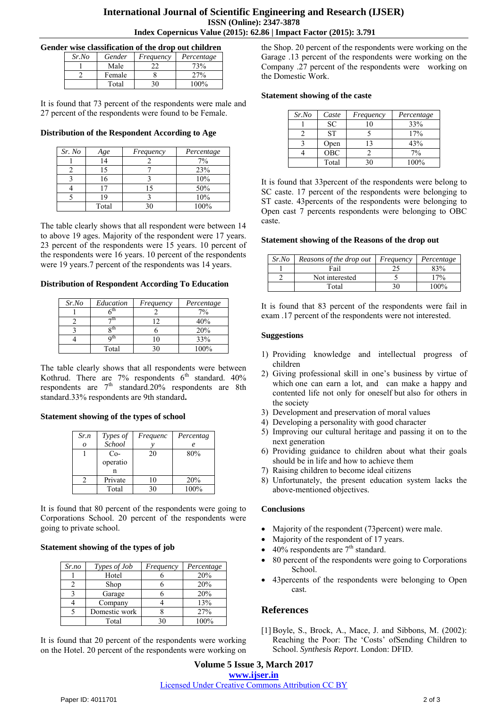# **International Journal of Scientific Engineering and Research (IJSER) ISSN (Online): 2347-3878 Index Copernicus Value (2015): 62.86 | Impact Factor (2015): 3.791**

#### **Gender wise classification of the drop out children**

| Sr.No | Gender | Frequency | Percentage |
|-------|--------|-----------|------------|
|       | Male   |           | 73%        |
|       | Female |           | 27%        |
|       | Total  |           |            |

It is found that 73 percent of the respondents were male and 27 percent of the respondents were found to be Female.

## **Distribution of the Respondent According to Age**

| Sr. No | Age   | Frequency | Percentage |
|--------|-------|-----------|------------|
|        | 14    |           | 7%         |
|        | 15    |           | 23%        |
|        | 16    |           | 10%        |
|        | ר ו   |           | 50%        |
|        | 19    |           | 10%        |
|        | Total | 30        | 100%       |

The table clearly shows that all respondent were between 14 to above 19 ages. Majority of the respondent were 17 years. 23 percent of the respondents were 15 years. 10 percent of the respondents were 16 years. 10 percent of the respondents were 19 years.7 percent of the respondents was 14 years.

#### **Distribution of Respondent According To Education**

| Sr.No | Education | Frequency | Percentage |
|-------|-----------|-----------|------------|
|       | ∡th       |           | $7\%$      |
|       | ¬th       |           | 40%        |
|       | oth       |           | 20%        |
|       | Qth       |           | 33%        |
|       | Total     | 36        | 100%       |

The table clearly shows that all respondents were between Kothrud. There are  $7\%$  respondents  $6<sup>th</sup>$  standard.  $40\%$ respondents are  $7<sup>th</sup>$  standard.20% respondents are 8th standard.33% respondents are 9th standard**.** 

## **Statement showing of the types of school**

| Sr.n     | Types of | Frequenc | Percentag |
|----------|----------|----------|-----------|
| $\Omega$ | School   |          |           |
|          | $Co-$    | 20       | 80%       |
|          | operatio |          |           |
|          | n        |          |           |
|          | Private  | 10       | 20%       |
|          | Total    | 30       | 100%      |

It is found that 80 percent of the respondents were going to Corporations School. 20 percent of the respondents were going to private school.

# **Statement showing of the types of job**

| Sr.no | Types of Job  | Frequency | Percentage |
|-------|---------------|-----------|------------|
|       | Hotel         |           | 20%        |
|       | Shop          |           | 20%        |
|       | Garage        |           | 20%        |
|       | Company       |           | 13%        |
|       | Domestic work |           | 27%        |
|       | Total         |           | $100\%$    |

It is found that 20 percent of the respondents were working on the Hotel. 20 percent of the respondents were working on the Shop. 20 percent of the respondents were working on the Garage .13 percent of the respondents were working on the Company .27 percent of the respondents were working on the Domestic Work.

## **Statement showing of the caste**

| Sr.No | Caste     | Frequency | Percentage |
|-------|-----------|-----------|------------|
|       | <b>SC</b> |           | 33%        |
|       | <b>ST</b> |           | 17%        |
|       | Open      | 13        | 43%        |
|       | OBC       |           | 7%         |
|       | Total     | 30        | 100%       |

It is found that 33percent of the respondents were belong to SC caste. 17 percent of the respondents were belonging to ST caste. 43percents of the respondents were belonging to Open cast 7 percents respondents were belonging to OBC caste.

#### **Statement showing of the Reasons of the drop out**

| Sr.No | Reasons of the drop out | Frequency | Percentage |
|-------|-------------------------|-----------|------------|
|       | Fail                    |           | 83%        |
|       | Not interested          |           | $7\%$      |
|       | Total                   |           | $100\%$    |

It is found that 83 percent of the respondents were fail in exam .17 percent of the respondents were not interested.

## **Suggestions**

- 1) Providing knowledge and intellectual progress of [children](http://balsanskar.com/english/lekh/cid_6.html)
- 2) Giving professional skill in one's business by virtue of which one can earn a lot, and can make a happy and contented life not only for oneself but also for others in the society
- 3) Development and preservation of moral values
- 4) Developing a personality with good character
- 5) Improving our cultural heritage and passing it on to the next generation
- 6) Providing guidance to children about what their goals should be in life and how to achieve them
- 7) Raising children to become ideal citizens
- 8) Unfortunately, the present education system lacks the above-mentioned objectives.

## **Conclusions**

- Majority of the respondent (73 percent) were male.
- Majority of the respondent of 17 years.
- $40\%$  respondents are  $7<sup>th</sup>$  standard.
- 80 percent of the respondents were going to Corporations School.
- 43percents of the respondents were belonging to Open cast.

# **References**

[1] Boyle, S., Brock, A., Mace, J. and Sibbons, M. (2002): Reaching the Poor: The 'Costs' ofSending Children to School. *Synthesis Report*. London: DFID.

**Volume 5 Issue 3, March 2017 www.ijser.in** Licensed Under Creative Commons Attribution CC BY